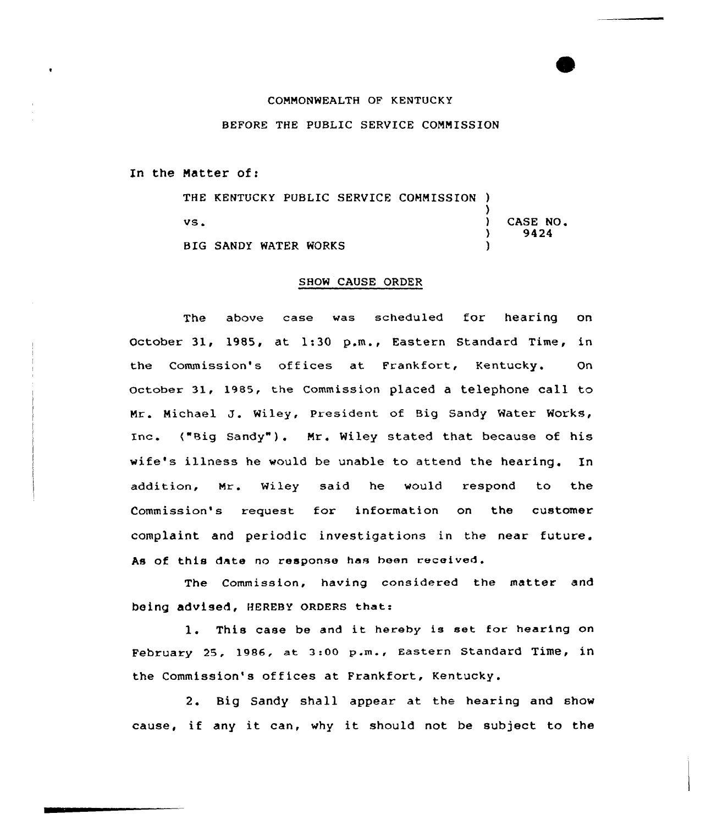## COMMONWEALTH OF KENTUCKY

## BEFORE THE PUBLIC SERVICE COMMISSION

In the Natter of:

THE KENTUCKY PUBLIC SERVICE COMMISSION ) )  $\mathsf{vs.}$  )  $)$ BIG SANDY WATER WORKS CASE NO <sup>~</sup> 9424

## SHOW CAUSE ORDER

The above case was scheduled for hearing on October 31, 1985, at 1:30 p.m., Eastern Standard Time, in the Commissicn's offices at Frankfort, Kentucky. On october 31, 1985, the Commission placed a telephone call to Nr. Michael J. Wiley, President of Big Sandy Water Works, Inc. ("Big Sandy" ). Nr. Wiley stated that because of his wife's illness he would be unable to attend the hearing. In additicn, Mr. Wiley said he would respond to the Commission's request for information on the customer complaint and periodic investigations in the near future. As of this date no response has heen received.

The Commission, having considered the matter and being advised, HEREBY 0RDERs that:

1. This case be and it hereby is set for hearing on February 25, 1986, at 3:OO p.m., Eastern Standard Time, in the Commission's offices at Frankfort, Kentucky.

2. Big Sandy shall appear at the hearing and show cause, if any it can, why it should not be subject to the